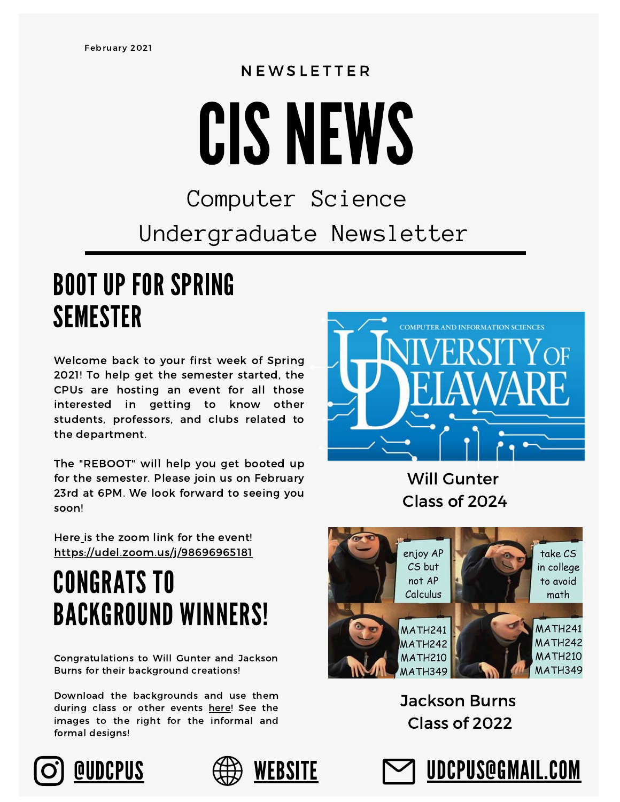## **NEWSLETTER**

# CIS NEWS

#### Computer Science Undergraduate Newsletter

#### BOOT UP FOR SPRING SEMESTER

Welcome back to your first week of Spring 2021! To help get the semester started, the CPUs are hosting an event for all those interested in getting to know other students, professors, and clubs related to the department.

The "REBOOT" will help you get booted up for the semester. Please join us on February 23rd at 6PM. We look forward to seeing you soon!



Will Gunter Class of 2024

Here is the zoom link for the event! <https://udel.zoom.us/j/98696965181>

### CONGRATS TO BACKGROUND WINNERS!

Congratulations to Will Gunter and Jackson Burns for their background creations!

Download the backgrounds and use them during class or other events [here](https://sites.google.com/udel.edu/cpus/contest-winners?authuser=0)! See the images to the right for the informal and formal designs!







#### Jackson Burns Class of 2022

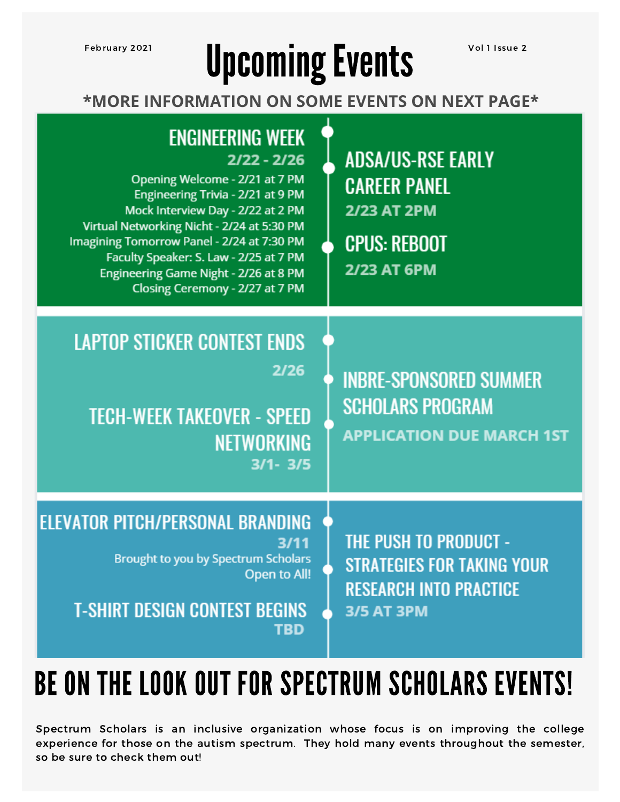# February 2021 **Upcoming Events** Vol 1 Issue 2

**\*MORE INFORMATION ON SOME EVENTS ON NEXT PAGE\***

| <b>ENGINEERING WEEK</b><br>$2/22 - 2/26$<br>Opening Welcome - 2/21 at 7 PM<br>Engineering Trivia - 2/21 at 9 PM<br>Mock Interview Day - 2/22 at 2 PM<br>Virtual Networking Nicht - 2/24 at 5:30 PM<br>Imagining Tomorrow Panel - 2/24 at 7:30 PM<br>Faculty Speaker: S. Law - 2/25 at 7 PM<br>Engineering Game Night - 2/26 at 8 PM<br>Closing Ceremony - 2/27 at 7 PM | <b>ADSA/US-RSE EARLY</b><br><b>CAREER PANEL</b><br><b>2/23 AT 2PM</b><br><b>CPUS: REBOOT</b><br><b>2/23 AT 6PM</b> |
|------------------------------------------------------------------------------------------------------------------------------------------------------------------------------------------------------------------------------------------------------------------------------------------------------------------------------------------------------------------------|--------------------------------------------------------------------------------------------------------------------|
| <b>LAPTOP STICKER CONTEST ENDS</b><br>2/26<br><b>TECH-WEEK TAKEOVER - SPEED</b><br><b>NETWORKING</b><br>$3/1 - 3/5$                                                                                                                                                                                                                                                    | <b>INBRE-SPONSORED SUMMER</b><br><b>SCHOLARS PROGRAM</b><br><b>APPLICATION DUE MARCH 1ST</b>                       |
| <b>ELEVATOR PITCH/PERSONAL BRANDING</b><br>3/11<br><b>Brought to you by Spectrum Scholars</b><br>Open to All!<br><b>T-SHIRT DESIGN CONTEST BEGINS</b><br><b>TBD</b>                                                                                                                                                                                                    | <b>THE PUSH TO PRODUCT -</b><br>STRATEGIES FOR TAKING YOUR<br><b>RESEARCH INTO PRACTICE</b><br><b>3/5 AT 3PM</b>   |

### BE ON THE LOOK OUT FOR SPECTRUM SCHOLARS EVENTS!

Spectrum Scholars is an inclusive organization whose focus is on improving the college experience for those on the autism spectrum. They hold many events throughout the semester, so be sure to check them out!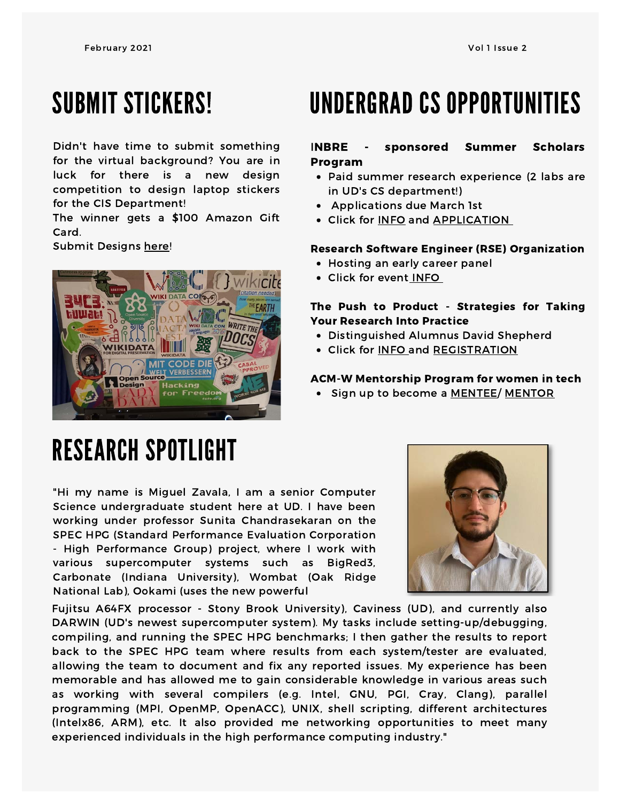#### SUBMIT STICKERS!

Didn't have time to submit something for the virtual background? You are in luck for there is a new design competition to design laptop stickers for the CIS Department!

The winner gets a \$100 Amazon Gift Card.

Submit Designs [here](https://docs.google.com/forms/d/e/1FAIpQLSfrBU_VU-d8rpdQ62P-Z_Rgb1VhWk1GUBjKAORCrJc7j2TeCw/viewform?usp=sf_link)!



#### UNDERGRAD CS OPPORTUNITIES

#### INBRE - sponsored Summer Scholars Program

- Paid summer research experience (2 labs are in UD's CS department!)
- Applications due March 1st
- Click for [INFO](http://de-inbre.org/students/) and [APPLICATION](http://de-inbre.org/dissp-applications-and-resources/)

#### Research Software Engineer (RSE) Organization

- Hosting an early career panel
- Click for event [INFO](https://academicdatascience.org/cdn/early-career-panel)

#### The Push to Product - Strategies for Taking Your Research Into Practice

- Distinguished Alumnus David Shepherd
- Click for **[INFO](https://cdn.discordapp.com/attachments/780489625566576675/812031447971004446/DAVID_SHEPHERD_ALUMNI_DIST_SEMINAR_03.05.2021.pdf) and [REGISTRATION](http://www.udel.edu/008048)**

#### ACM-W Mentorship Program for women in tech

• Sign up to become a [MENTEE/](https://docs.google.com/forms/d/e/1FAIpQLSex390fr-GdLycybNShrIoHFJU6IiadzabYttukdcWpPyH0_A/viewform) [MENTOR](https://docs.google.com/forms/d/e/1FAIpQLSePFTwSawRuPyHpJ8N4dhmv7lALOIRx9WUfEFUNPE209lMofg/closedform)

### RESEARCH SPOTLIGHT

"Hi my name is Miguel Zavala, I am a senior Computer Science undergraduate student here at UD. I have been working under professor Sunita Chandrasekaran on the SPEC HPG (Standard Performance Evaluation Corporation - High Performance Group) project, where I work with various supercomputer systems such as BigRed3, Carbonate (Indiana University), Wombat (Oak Ridge National Lab), Ookami (uses the new powerful



Fujitsu A64FX processor - Stony Brook University), Caviness (UD), and currently also DARWIN (UD's newest supercomputer system). My tasks include setting-up/debugging, compiling, and running the SPEC HPG benchmarks; I then gather the results to report back to the SPEC HPG team where results from each system/tester are evaluated, allowing the team to document and fix any reported issues. My experience has been memorable and has allowed me to gain considerable knowledge in various areas such as working with several compilers (e.g. Intel, GNU, PGI, Cray, Clang), parallel programming (MPI, OpenMP, OpenACC), UNIX, shell scripting, different architectures (Intelx86, ARM), etc. It also provided me networking opportunities to meet many experienced individuals in the high performance computing industry."